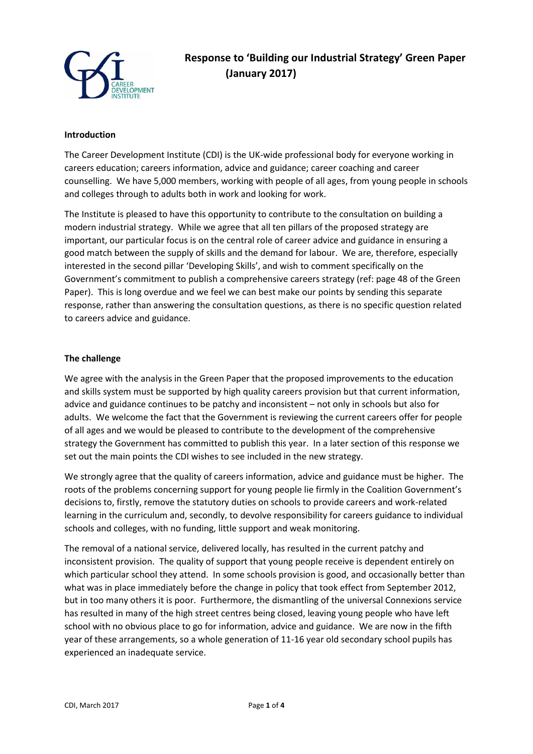

## **Introduction**

The Career Development Institute (CDI) is the UK-wide professional body for everyone working in careers education; careers information, advice and guidance; career coaching and career counselling. We have 5,000 members, working with people of all ages, from young people in schools and colleges through to adults both in work and looking for work.

The Institute is pleased to have this opportunity to contribute to the consultation on building a modern industrial strategy. While we agree that all ten pillars of the proposed strategy are important, our particular focus is on the central role of career advice and guidance in ensuring a good match between the supply of skills and the demand for labour. We are, therefore, especially interested in the second pillar 'Developing Skills', and wish to comment specifically on the Government's commitment to publish a comprehensive careers strategy (ref: page 48 of the Green Paper). This is long overdue and we feel we can best make our points by sending this separate response, rather than answering the consultation questions, as there is no specific question related to careers advice and guidance.

#### **The challenge**

We agree with the analysis in the Green Paper that the proposed improvements to the education and skills system must be supported by high quality careers provision but that current information, advice and guidance continues to be patchy and inconsistent – not only in schools but also for adults. We welcome the fact that the Government is reviewing the current careers offer for people of all ages and we would be pleased to contribute to the development of the comprehensive strategy the Government has committed to publish this year. In a later section of this response we set out the main points the CDI wishes to see included in the new strategy.

We strongly agree that the quality of careers information, advice and guidance must be higher. The roots of the problems concerning support for young people lie firmly in the Coalition Government's decisions to, firstly, remove the statutory duties on schools to provide careers and work-related learning in the curriculum and, secondly, to devolve responsibility for careers guidance to individual schools and colleges, with no funding, little support and weak monitoring.

The removal of a national service, delivered locally, has resulted in the current patchy and inconsistent provision. The quality of support that young people receive is dependent entirely on which particular school they attend. In some schools provision is good, and occasionally better than what was in place immediately before the change in policy that took effect from September 2012, but in too many others it is poor. Furthermore, the dismantling of the universal Connexions service has resulted in many of the high street centres being closed, leaving young people who have left school with no obvious place to go for information, advice and guidance. We are now in the fifth year of these arrangements, so a whole generation of 11-16 year old secondary school pupils has experienced an inadequate service.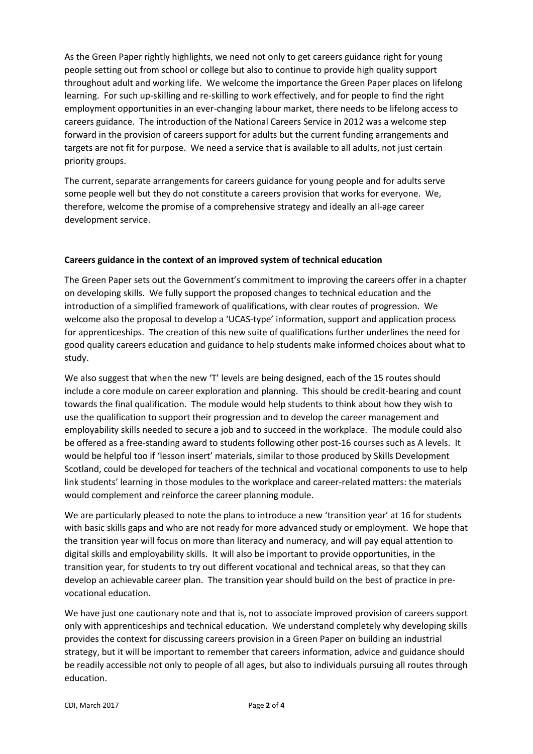As the Green Paper rightly highlights, we need not only to get careers guidance right for young people setting out from school or college but also to continue to provide high quality support throughout adult and working life. We welcome the importance the Green Paper places on lifelong learning. For such up-skilling and re-skilling to work effectively, and for people to find the right employment opportunities in an ever-changing labour market, there needs to be lifelong access to careers guidance. The introduction of the National Careers Service in 2012 was a welcome step forward in the provision of careers support for adults but the current funding arrangements and targets are not fit for purpose. We need a service that is available to all adults, not just certain priority groups.

The current, separate arrangements for careers guidance for young people and for adults serve some people well but they do not constitute a careers provision that works for everyone. We, therefore, welcome the promise of a comprehensive strategy and ideally an all-age career development service.

# **Careers guidance in the context of an improved system of technical education**

The Green Paper sets out the Government's commitment to improving the careers offer in a chapter on developing skills. We fully support the proposed changes to technical education and the introduction of a simplified framework of qualifications, with clear routes of progression. We welcome also the proposal to develop a 'UCAS-type' information, support and application process for apprenticeships. The creation of this new suite of qualifications further underlines the need for good quality careers education and guidance to help students make informed choices about what to study.

We also suggest that when the new 'T' levels are being designed, each of the 15 routes should include a core module on career exploration and planning. This should be credit-bearing and count towards the final qualification. The module would help students to think about how they wish to use the qualification to support their progression and to develop the career management and employability skills needed to secure a job and to succeed in the workplace. The module could also be offered as a free-standing award to students following other post-16 courses such as A levels. It would be helpful too if 'lesson insert' materials, similar to those produced by Skills Development Scotland, could be developed for teachers of the technical and vocational components to use to help link students' learning in those modules to the workplace and career-related matters: the materials would complement and reinforce the career planning module.

We are particularly pleased to note the plans to introduce a new 'transition year' at 16 for students with basic skills gaps and who are not ready for more advanced study or employment. We hope that the transition year will focus on more than literacy and numeracy, and will pay equal attention to digital skills and employability skills. It will also be important to provide opportunities, in the transition year, for students to try out different vocational and technical areas, so that they can develop an achievable career plan. The transition year should build on the best of practice in prevocational education.

We have just one cautionary note and that is, not to associate improved provision of careers support only with apprenticeships and technical education. We understand completely why developing skills provides the context for discussing careers provision in a Green Paper on building an industrial strategy, but it will be important to remember that careers information, advice and guidance should be readily accessible not only to people of all ages, but also to individuals pursuing all routes through education.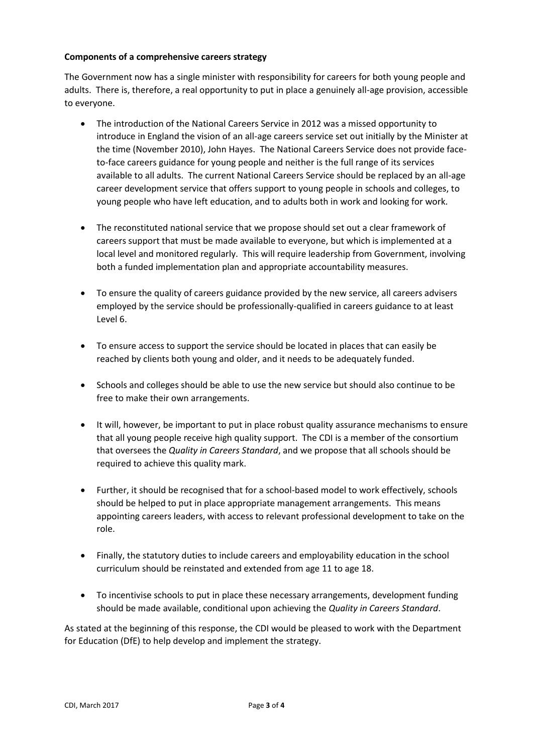## **Components of a comprehensive careers strategy**

The Government now has a single minister with responsibility for careers for both young people and adults. There is, therefore, a real opportunity to put in place a genuinely all-age provision, accessible to everyone.

- The introduction of the National Careers Service in 2012 was a missed opportunity to introduce in England the vision of an all-age careers service set out initially by the Minister at the time (November 2010), John Hayes. The National Careers Service does not provide faceto-face careers guidance for young people and neither is the full range of its services available to all adults. The current National Careers Service should be replaced by an all-age career development service that offers support to young people in schools and colleges, to young people who have left education, and to adults both in work and looking for work.
- The reconstituted national service that we propose should set out a clear framework of careers support that must be made available to everyone, but which is implemented at a local level and monitored regularly. This will require leadership from Government, involving both a funded implementation plan and appropriate accountability measures.
- To ensure the quality of careers guidance provided by the new service, all careers advisers employed by the service should be professionally-qualified in careers guidance to at least Level 6.
- To ensure access to support the service should be located in places that can easily be reached by clients both young and older, and it needs to be adequately funded.
- Schools and colleges should be able to use the new service but should also continue to be free to make their own arrangements.
- It will, however, be important to put in place robust quality assurance mechanisms to ensure that all young people receive high quality support. The CDI is a member of the consortium that oversees the *Quality in Careers Standard*, and we propose that all schools should be required to achieve this quality mark.
- Further, it should be recognised that for a school-based model to work effectively, schools should be helped to put in place appropriate management arrangements. This means appointing careers leaders, with access to relevant professional development to take on the role.
- Finally, the statutory duties to include careers and employability education in the school curriculum should be reinstated and extended from age 11 to age 18.
- To incentivise schools to put in place these necessary arrangements, development funding should be made available, conditional upon achieving the *Quality in Careers Standard*.

As stated at the beginning of this response, the CDI would be pleased to work with the Department for Education (DfE) to help develop and implement the strategy.